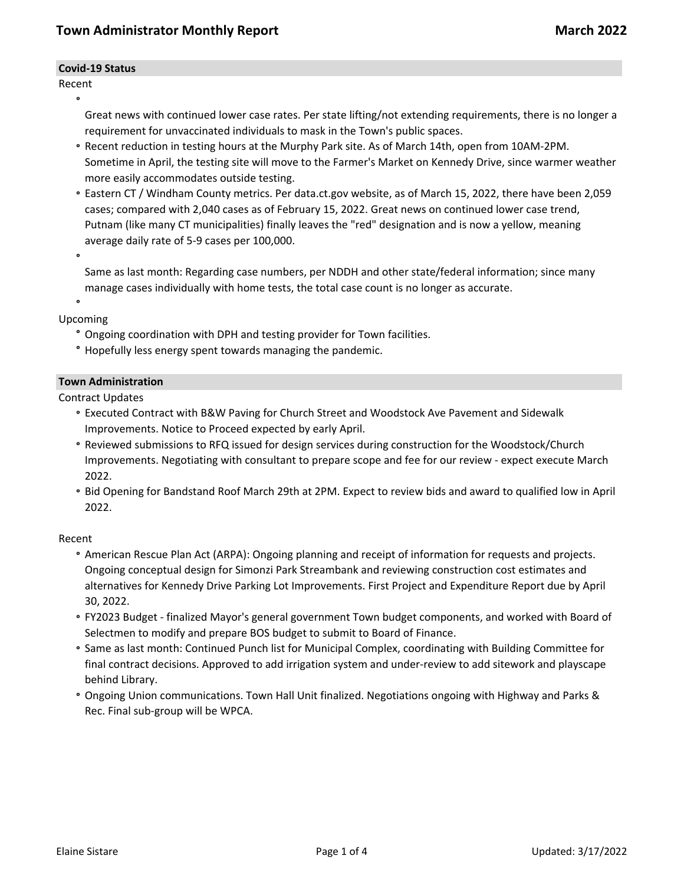## **Covid-19 Status**

Recent **°**

> Great news with continued lower case rates. Per state lifting/not extending requirements, there is no longer a requirement for unvaccinated individuals to mask in the Town's public spaces.

- **°** Recent reduction in testing hours at the Murphy Park site. As of March 14th, open from 10AM-2PM. Sometime in April, the testing site will move to the Farmer's Market on Kennedy Drive, since warmer weather more easily accommodates outside testing.
- **°** Eastern CT / Windham County metrics. Per data.ct.gov website, as of March 15, 2022, there have been 2,059 cases; compared with 2,040 cases as of February 15, 2022. Great news on continued lower case trend, Putnam (like many CT municipalities) finally leaves the "red" designation and is now a yellow, meaning average daily rate of 5-9 cases per 100,000.

**°**

Same as last month: Regarding case numbers, per NDDH and other state/federal information; since many manage cases individually with home tests, the total case count is no longer as accurate.

**°** Upcoming

- **°** Ongoing coordination with DPH and testing provider for Town facilities.
- **°** Hopefully less energy spent towards managing the pandemic.

# **Town Administration**

Contract Updates

- **°** Executed Contract with B&W Paving for Church Street and Woodstock Ave Pavement and Sidewalk Improvements. Notice to Proceed expected by early April.
- **°** Reviewed submissions to RFQ issued for design services during construction for the Woodstock/Church Improvements. Negotiating with consultant to prepare scope and fee for our review - expect execute March 2022.
- **°** Bid Opening for Bandstand Roof March 29th at 2PM. Expect to review bids and award to qualified low in April 2022.

## Recent

- **°** American Rescue Plan Act (ARPA): Ongoing planning and receipt of information for requests and projects. Ongoing conceptual design for Simonzi Park Streambank and reviewing construction cost estimates and alternatives for Kennedy Drive Parking Lot Improvements. First Project and Expenditure Report due by April 30, 2022.
- **°** FY2023 Budget finalized Mayor's general government Town budget components, and worked with Board of Selectmen to modify and prepare BOS budget to submit to Board of Finance.
- **°** Same as last month: Continued Punch list for Municipal Complex, coordinating with Building Committee for final contract decisions. Approved to add irrigation system and under-review to add sitework and playscape behind Library.
- **°** Ongoing Union communications. Town Hall Unit finalized. Negotiations ongoing with Highway and Parks & Rec. Final sub-group will be WPCA.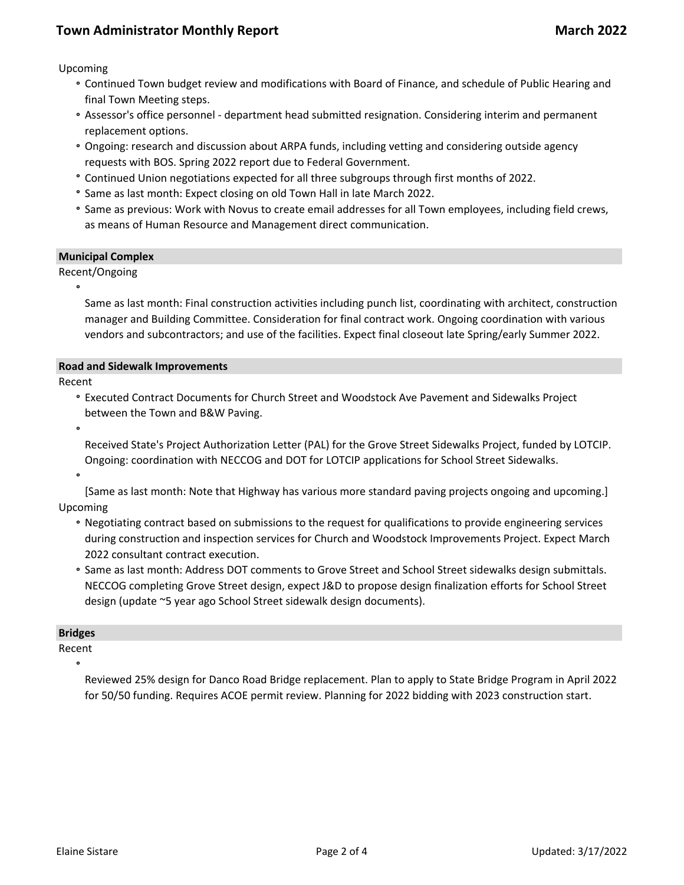# **Town Administrator Monthly Report March 2022**

Upcoming

- **°** Continued Town budget review and modifications with Board of Finance, and schedule of Public Hearing and final Town Meeting steps.
- **°** Assessor's office personnel department head submitted resignation. Considering interim and permanent replacement options.
- **°** Ongoing: research and discussion about ARPA funds, including vetting and considering outside agency requests with BOS. Spring 2022 report due to Federal Government.
- **°** Continued Union negotiations expected for all three subgroups through first months of 2022.
- **°** Same as last month: Expect closing on old Town Hall in late March 2022.
- **°** Same as previous: Work with Novus to create email addresses for all Town employees, including field crews, as means of Human Resource and Management direct communication.

## **Municipal Complex**

Recent/Ongoing

**°**

Same as last month: Final construction activities including punch list, coordinating with architect, construction manager and Building Committee. Consideration for final contract work. Ongoing coordination with various vendors and subcontractors; and use of the facilities. Expect final closeout late Spring/early Summer 2022.

## **Road and Sidewalk Improvements**

Recent

**°** Executed Contract Documents for Church Street and Woodstock Ave Pavement and Sidewalks Project between the Town and B&W Paving.

**°**

Received State's Project Authorization Letter (PAL) for the Grove Street Sidewalks Project, funded by LOTCIP. Ongoing: coordination with NECCOG and DOT for LOTCIP applications for School Street Sidewalks.

**°**

[Same as last month: Note that Highway has various more standard paving projects ongoing and upcoming.] Upcoming

- **°** Negotiating contract based on submissions to the request for qualifications to provide engineering services during construction and inspection services for Church and Woodstock Improvements Project. Expect March 2022 consultant contract execution.
- **°** Same as last month: Address DOT comments to Grove Street and School Street sidewalks design submittals. NECCOG completing Grove Street design, expect J&D to propose design finalization efforts for School Street design (update ~5 year ago School Street sidewalk design documents).

## **Bridges**

Recent

**°**

Reviewed 25% design for Danco Road Bridge replacement. Plan to apply to State Bridge Program in April 2022 for 50/50 funding. Requires ACOE permit review. Planning for 2022 bidding with 2023 construction start.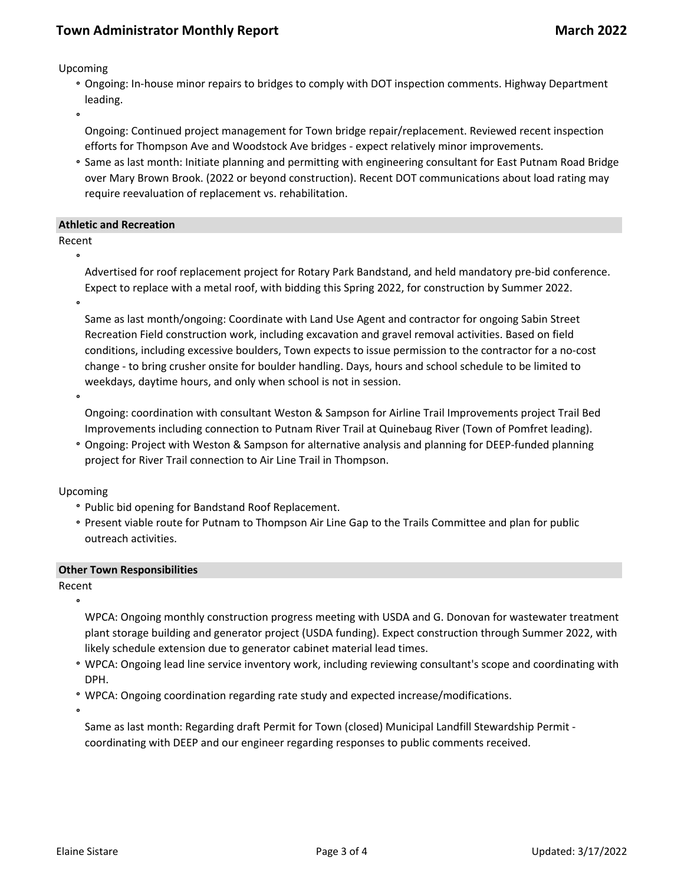# **Town Administrator Monthly Report March 2022**

Upcoming

**°** Ongoing: In-house minor repairs to bridges to comply with DOT inspection comments. Highway Department leading.

**°**

Ongoing: Continued project management for Town bridge repair/replacement. Reviewed recent inspection efforts for Thompson Ave and Woodstock Ave bridges - expect relatively minor improvements.

**°** Same as last month: Initiate planning and permitting with engineering consultant for East Putnam Road Bridge over Mary Brown Brook. (2022 or beyond construction). Recent DOT communications about load rating may require reevaluation of replacement vs. rehabilitation.

# **Athletic and Recreation**

Recent

**°**

**°**

Advertised for roof replacement project for Rotary Park Bandstand, and held mandatory pre-bid conference. Expect to replace with a metal roof, with bidding this Spring 2022, for construction by Summer 2022.

Same as last month/ongoing: Coordinate with Land Use Agent and contractor for ongoing Sabin Street Recreation Field construction work, including excavation and gravel removal activities. Based on field conditions, including excessive boulders, Town expects to issue permission to the contractor for a no-cost change - to bring crusher onsite for boulder handling. Days, hours and school schedule to be limited to weekdays, daytime hours, and only when school is not in session.

**°**

Ongoing: coordination with consultant Weston & Sampson for Airline Trail Improvements project Trail Bed Improvements including connection to Putnam River Trail at Quinebaug River (Town of Pomfret leading).

**°** Ongoing: Project with Weston & Sampson for alternative analysis and planning for DEEP-funded planning project for River Trail connection to Air Line Trail in Thompson.

Upcoming

- **°** Public bid opening for Bandstand Roof Replacement.
- **°** Present viable route for Putnam to Thompson Air Line Gap to the Trails Committee and plan for public outreach activities.

## **Other Town Responsibilities**

Recent **°**

WPCA: Ongoing monthly construction progress meeting with USDA and G. Donovan for wastewater treatment plant storage building and generator project (USDA funding). Expect construction through Summer 2022, with likely schedule extension due to generator cabinet material lead times.

- **°** WPCA: Ongoing lead line service inventory work, including reviewing consultant's scope and coordinating with DPH.
- **°** WPCA: Ongoing coordination regarding rate study and expected increase/modifications.

**°**

Same as last month: Regarding draft Permit for Town (closed) Municipal Landfill Stewardship Permit coordinating with DEEP and our engineer regarding responses to public comments received.